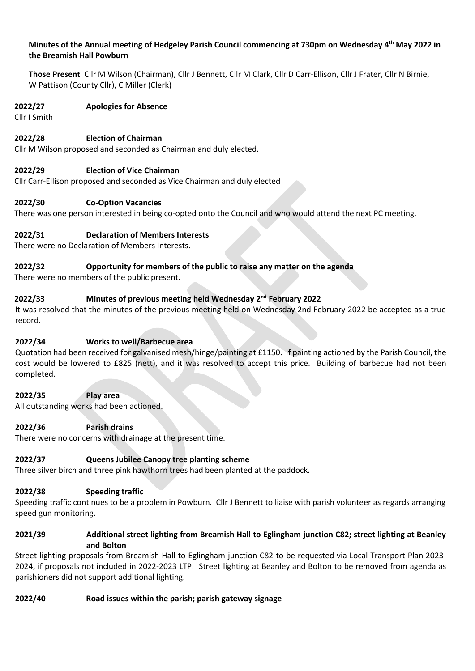# **Minutes of the Annual meeting of Hedgeley Parish Council commencing at 730pm on Wednesday 4 th May 2022 in the Breamish Hall Powburn**

**Those Present** Cllr M Wilson (Chairman), Cllr J Bennett, Cllr M Clark, Cllr D Carr-Ellison, Cllr J Frater, Cllr N Birnie, W Pattison (County Cllr), C Miller (Clerk)

### **2022/27 Apologies for Absence**

Cllr I Smith

# **2022/28 Election of Chairman**

Cllr M Wilson proposed and seconded as Chairman and duly elected.

# **2022/29 Election of Vice Chairman**

Cllr Carr-Ellison proposed and seconded as Vice Chairman and duly elected

### **2022/30 Co-Option Vacancies**

There was one person interested in being co-opted onto the Council and who would attend the next PC meeting.

# **2022/31 Declaration of Members Interests**

There were no Declaration of Members Interests.

### **2022/32 Opportunity for members of the public to raise any matter on the agenda**

There were no members of the public present.

# **2022/33 Minutes of previous meeting held Wednesday 2 nd February 2022**

It was resolved that the minutes of the previous meeting held on Wednesday 2nd February 2022 be accepted as a true record.

# **2022/34 Works to well/Barbecue area**

Quotation had been received for galvanised mesh/hinge/painting at £1150. If painting actioned by the Parish Council, the cost would be lowered to £825 (nett), and it was resolved to accept this price. Building of barbecue had not been completed.

#### **2022/35 Play area**

All outstanding works had been actioned.

#### **2022/36 Parish drains**

There were no concerns with drainage at the present time.

# **2022/37 Queens Jubilee Canopy tree planting scheme**

Three silver birch and three pink hawthorn trees had been planted at the paddock.

#### **2022/38 Speeding traffic**

Speeding traffic continues to be a problem in Powburn. Cllr J Bennett to liaise with parish volunteer as regards arranging speed gun monitoring.

### **2021/39 Additional street lighting from Breamish Hall to Eglingham junction C82; street lighting at Beanley and Bolton**

Street lighting proposals from Breamish Hall to Eglingham junction C82 to be requested via Local Transport Plan 2023- 2024, if proposals not included in 2022-2023 LTP. Street lighting at Beanley and Bolton to be removed from agenda as parishioners did not support additional lighting.

#### **2022/40 Road issues within the parish; parish gateway signage**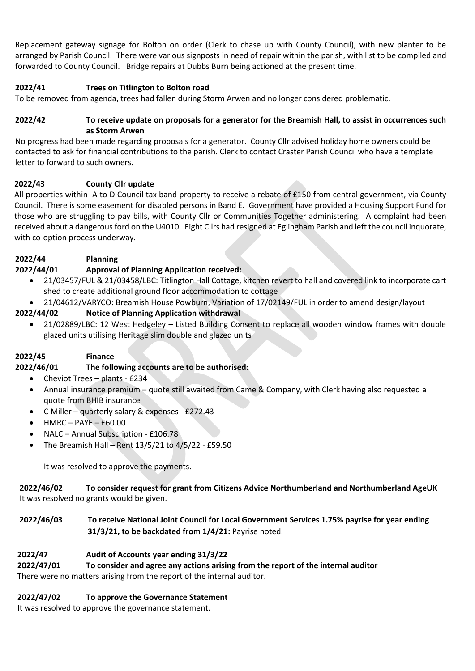Replacement gateway signage for Bolton on order (Clerk to chase up with County Council), with new planter to be arranged by Parish Council. There were various signposts in need of repair within the parish, with list to be compiled and forwarded to County Council. Bridge repairs at Dubbs Burn being actioned at the present time.

# **2022/41 Trees on Titlington to Bolton road**

To be removed from agenda, trees had fallen during Storm Arwen and no longer considered problematic.

# **2022/42 To receive update on proposals for a generator for the Breamish Hall, to assist in occurrences such as Storm Arwen**

No progress had been made regarding proposals for a generator. County Cllr advised holiday home owners could be contacted to ask for financial contributions to the parish. Clerk to contact Craster Parish Council who have a template letter to forward to such owners.

### **2022/43 County Cllr update**

All properties within A to D Council tax band property to receive a rebate of £150 from central government, via County Council. There is some easement for disabled persons in Band E. Government have provided a Housing Support Fund for those who are struggling to pay bills, with County Cllr or Communities Together administering. A complaint had been received about a dangerous ford on the U4010. Eight Cllrs had resigned at Eglingham Parish and left the council inquorate, with co-option process underway.

# **2022/44 Planning**

# **2022/44/01 Approval of Planning Application received:**

- 21/03457/FUL & 21/03458/LBC: Titlington Hall Cottage, kitchen revert to hall and covered link to incorporate cart shed to create additional ground floor accommodation to cottage
- 21/04612/VARYCO: Breamish House Powburn, Variation of 17/02149/FUL in order to amend design/layout

# **2022/44/02 Notice of Planning Application withdrawal**

• 21/02889/LBC: 12 West Hedgeley – Listed Building Consent to replace all wooden window frames with double glazed units utilising Heritage slim double and glazed units

# **2022/45 Finance**

# **2022/46/01 The following accounts are to be authorised:**

- Cheviot Trees plants £234
- Annual insurance premium quote still awaited from Came & Company, with Clerk having also requested a quote from BHIB insurance
- C Miller quarterly salary & expenses £272.43
- HMRC PAYE £60.00
- NALC Annual Subscription £106.78
- The Breamish Hall Rent 13/5/21 to 4/5/22 £59.50

It was resolved to approve the payments.

**2022/46/02 To consider request for grant from Citizens Advice Northumberland and Northumberland AgeUK** It was resolved no grants would be given.

# **2022/46/03 To receive National Joint Council for Local Government Services 1.75% payrise for year ending 31/3/21, to be backdated from 1/4/21:** Payrise noted.

# **2022/47 Audit of Accounts year ending 31/3/22**

# **2022/47/01 To consider and agree any actions arising from the report of the internal auditor**

There were no matters arising from the report of the internal auditor.

# **2022/47/02 To approve the Governance Statement**

It was resolved to approve the governance statement.